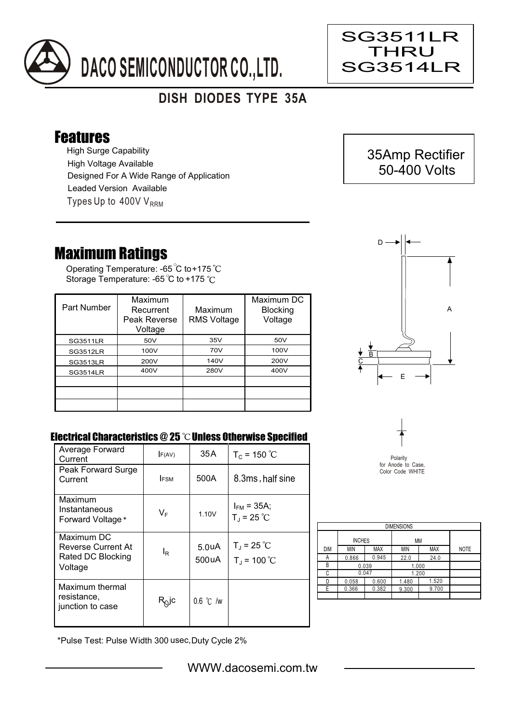

## **DISH DIODES TYPE 35A**

## Features

High Surge Capability Types Up to  $400VV<sub>RRM</sub>$ High Voltage Available Designed For A Wide Range of Application Leaded Version Available

## Maximum Ratings

Operating Temperature: -65 C to+175 Storage Temperature: -65 °C to +175 °C

| Part Number     | Maximum<br>Recurrent<br>Peak Reverse<br>Voltage | Maximum<br><b>RMS Voltage</b> | Maximum DC<br><b>Blocking</b><br>Voltage |
|-----------------|-------------------------------------------------|-------------------------------|------------------------------------------|
| <b>SG3511LR</b> | 50V                                             | 35V                           | 50V                                      |
| <b>SG3512LR</b> | 100V                                            | 70V                           | 100V                                     |
| <b>SG3513LR</b> | 200V                                            | 140V                          | 200V                                     |
| <b>SG3514LR</b> | 400V                                            | 280V                          | 400V                                     |
|                 |                                                 |                               |                                          |
|                 |                                                 |                               |                                          |
|                 |                                                 |                               |                                          |



## Electrical Characteristics  $@25$   $^{\circ}\text{C}$  Unless Otherwise Specified

| Average Forward<br>Current                                       | F(AV)          | 35 A                        | $T_c = 150 °C$                          |
|------------------------------------------------------------------|----------------|-----------------------------|-----------------------------------------|
| Peak Forward Surge<br>Current                                    | <b>FSM</b>     | 500A                        | 8.3ms, half sine                        |
| Maximum<br>Instantaneous<br>Forward Voltage*                     | $V_F$          | 1.10V                       | $I_{FM}$ = 35A;<br>$T_{J}$ = 25 °C      |
| Maximum DC<br>Reverse Current At<br>Rated DC Blocking<br>Voltage | l <sub>R</sub> | 5.0 <sub>u</sub> A<br>500uA | $T_{\rm J}$ = 25 °C<br>$T_{J}$ = 100 °C |
| Maximum thermal<br>resistance,<br>junction to case               | $R_Q$ jc       | $0.6$ °C /w                 |                                         |



Polarity for Anode to Case, Color Code WHITE

| <b>DIMENSIONS</b> |               |            |       |            |             |  |  |  |  |
|-------------------|---------------|------------|-------|------------|-------------|--|--|--|--|
|                   | <b>INCHES</b> |            | МM    |            |             |  |  |  |  |
| <b>DIM</b>        | <b>MIN</b>    | <b>MAX</b> | MIN   | <b>MAX</b> | <b>NOTE</b> |  |  |  |  |
| Α                 | 0.866         | 0.945      | 22.0  | 24.0       |             |  |  |  |  |
| В                 | 0.039         |            | 1.000 |            |             |  |  |  |  |
| C                 | 0.047         |            | 1.200 |            |             |  |  |  |  |
| n                 | 0.058         | 0.600      | 1.480 | 1.520      |             |  |  |  |  |
| F.                | 0.366         | 0.382      | 9.300 | 9.700      |             |  |  |  |  |
|                   |               |            |       |            |             |  |  |  |  |

\*Pulse Test: Pulse Width 300 usec,Duty Cycle 2%



Ξ

SG3511LR THRU SG3514LR